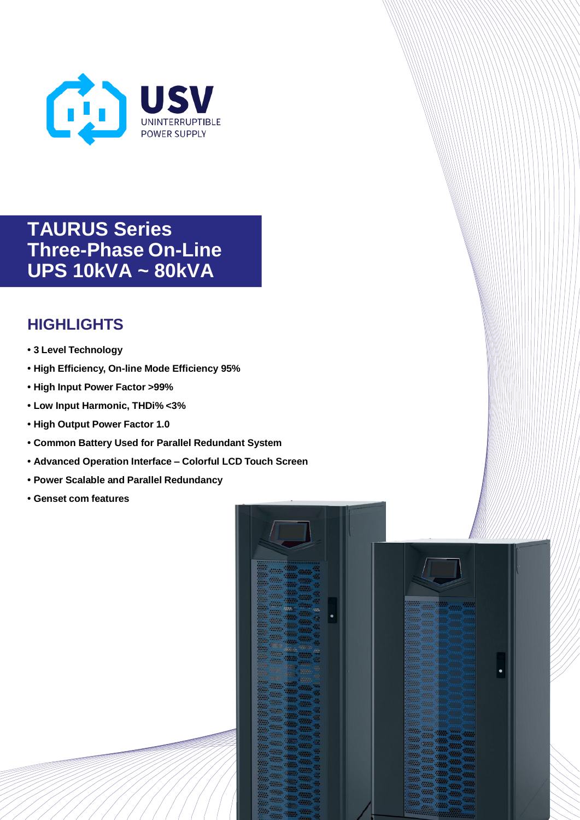

**TAURUS Series Three-Phase On-Line UPS 10kVA ~ 80kVA**

## **HIGHLIGHTS**

- **• 3 Level Technology**
- **• High Efficiency, On-line Mode Efficiency 95%**
- **• High Input Power Factor >99%**
- **• Low Input Harmonic, THDi% <3%**
- **• High Output Power Factor 1.0**
- **• Common Battery Used for Parallel Redundant System**
- **• Advanced Operation Interface – Colorful LCD Touch Screen**
- **• Power Scalable and Parallel Redundancy**
- **• Genset com features**